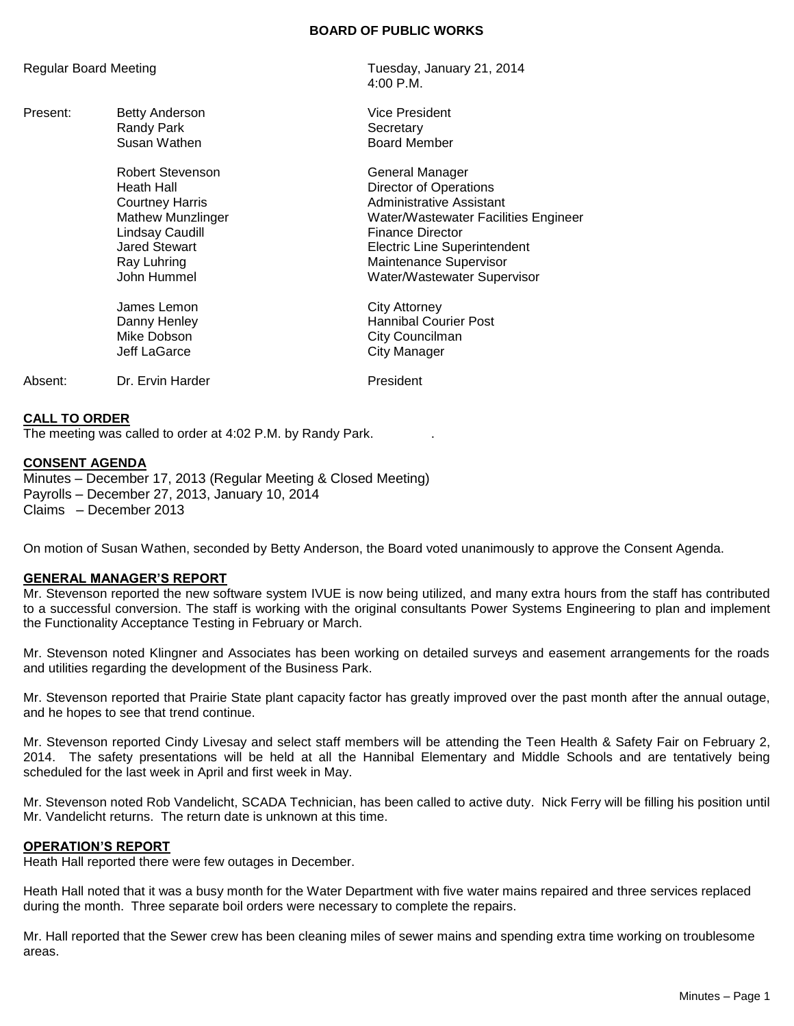#### **BOARD OF PUBLIC WORKS**

| Regular Board Meeting |                                                                                                                                                        | Tuesday, January 21, 2014<br>$4:00$ P.M.                                                                                                                                                                                                 |
|-----------------------|--------------------------------------------------------------------------------------------------------------------------------------------------------|------------------------------------------------------------------------------------------------------------------------------------------------------------------------------------------------------------------------------------------|
| Present:              | Betty Anderson<br>Randy Park<br>Susan Wathen                                                                                                           | <b>Vice President</b><br>Secretary<br><b>Board Member</b>                                                                                                                                                                                |
|                       | Robert Stevenson<br>Heath Hall<br>Courtney Harris<br><b>Mathew Munzlinger</b><br>Lindsay Caudill<br><b>Jared Stewart</b><br>Ray Luhring<br>John Hummel | General Manager<br>Director of Operations<br>Administrative Assistant<br>Water/Wastewater Facilities Engineer<br><b>Finance Director</b><br><b>Electric Line Superintendent</b><br>Maintenance Supervisor<br>Water/Wastewater Supervisor |
|                       | James Lemon<br>Danny Henley<br>Mike Dobson<br>Jeff LaGarce                                                                                             | <b>City Attorney</b><br><b>Hannibal Courier Post</b><br>City Councilman<br>City Manager                                                                                                                                                  |
| Absent:               | Dr. Ervin Harder                                                                                                                                       | President                                                                                                                                                                                                                                |

#### **CALL TO ORDER**

The meeting was called to order at 4:02 P.M. by Randy Park. .

#### **CONSENT AGENDA**

Minutes – December 17, 2013 (Regular Meeting & Closed Meeting) Payrolls – December 27, 2013, January 10, 2014 Claims – December 2013

On motion of Susan Wathen, seconded by Betty Anderson, the Board voted unanimously to approve the Consent Agenda.

## **GENERAL MANAGER'S REPORT**

Mr. Stevenson reported the new software system IVUE is now being utilized, and many extra hours from the staff has contributed to a successful conversion. The staff is working with the original consultants Power Systems Engineering to plan and implement the Functionality Acceptance Testing in February or March.

Mr. Stevenson noted Klingner and Associates has been working on detailed surveys and easement arrangements for the roads and utilities regarding the development of the Business Park.

Mr. Stevenson reported that Prairie State plant capacity factor has greatly improved over the past month after the annual outage, and he hopes to see that trend continue.

Mr. Stevenson reported Cindy Livesay and select staff members will be attending the Teen Health & Safety Fair on February 2, 2014. The safety presentations will be held at all the Hannibal Elementary and Middle Schools and are tentatively being scheduled for the last week in April and first week in May.

Mr. Stevenson noted Rob Vandelicht, SCADA Technician, has been called to active duty. Nick Ferry will be filling his position until Mr. Vandelicht returns. The return date is unknown at this time.

## **OPERATION'S REPORT**

Heath Hall reported there were few outages in December.

Heath Hall noted that it was a busy month for the Water Department with five water mains repaired and three services replaced during the month. Three separate boil orders were necessary to complete the repairs.

Mr. Hall reported that the Sewer crew has been cleaning miles of sewer mains and spending extra time working on troublesome areas.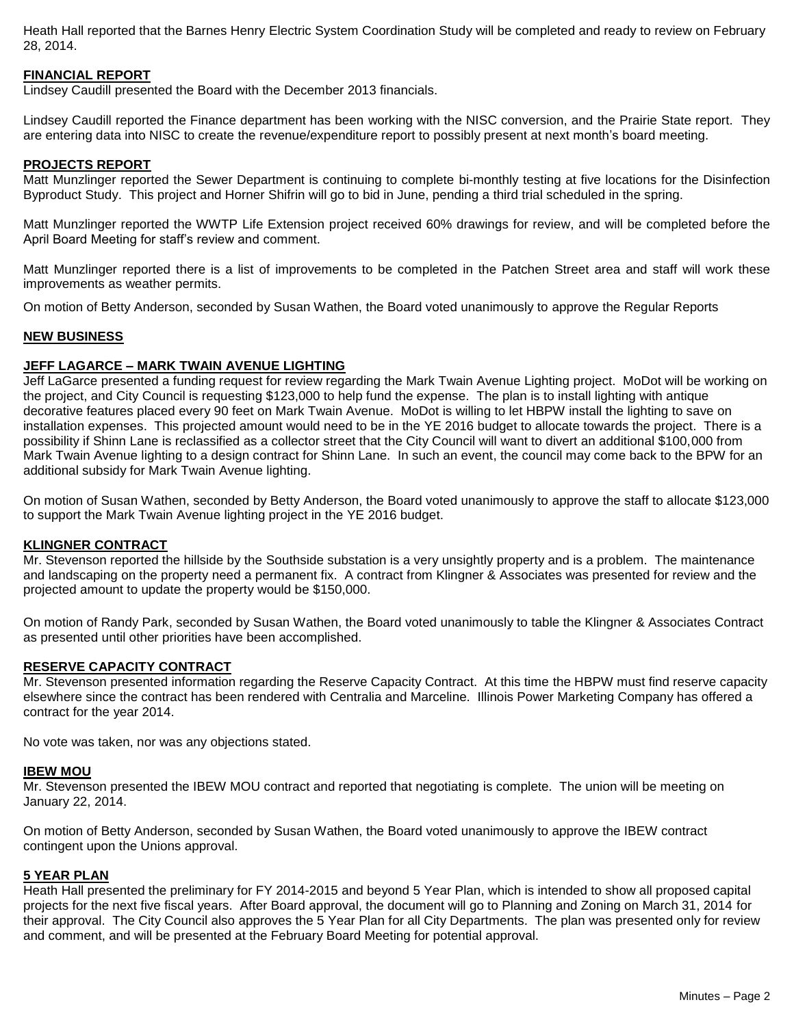Heath Hall reported that the Barnes Henry Electric System Coordination Study will be completed and ready to review on February 28, 2014.

## **FINANCIAL REPORT**

Lindsey Caudill presented the Board with the December 2013 financials.

Lindsey Caudill reported the Finance department has been working with the NISC conversion, and the Prairie State report. They are entering data into NISC to create the revenue/expenditure report to possibly present at next month's board meeting.

## **PROJECTS REPORT**

Matt Munzlinger reported the Sewer Department is continuing to complete bi-monthly testing at five locations for the Disinfection Byproduct Study. This project and Horner Shifrin will go to bid in June, pending a third trial scheduled in the spring.

Matt Munzlinger reported the WWTP Life Extension project received 60% drawings for review, and will be completed before the April Board Meeting for staff's review and comment.

Matt Munzlinger reported there is a list of improvements to be completed in the Patchen Street area and staff will work these improvements as weather permits.

On motion of Betty Anderson, seconded by Susan Wathen, the Board voted unanimously to approve the Regular Reports

## **NEW BUSINESS**

## **JEFF LAGARCE – MARK TWAIN AVENUE LIGHTING**

Jeff LaGarce presented a funding request for review regarding the Mark Twain Avenue Lighting project. MoDot will be working on the project, and City Council is requesting \$123,000 to help fund the expense. The plan is to install lighting with antique decorative features placed every 90 feet on Mark Twain Avenue. MoDot is willing to let HBPW install the lighting to save on installation expenses. This projected amount would need to be in the YE 2016 budget to allocate towards the project. There is a possibility if Shinn Lane is reclassified as a collector street that the City Council will want to divert an additional \$100,000 from Mark Twain Avenue lighting to a design contract for Shinn Lane. In such an event, the council may come back to the BPW for an additional subsidy for Mark Twain Avenue lighting.

On motion of Susan Wathen, seconded by Betty Anderson, the Board voted unanimously to approve the staff to allocate \$123,000 to support the Mark Twain Avenue lighting project in the YE 2016 budget.

## **KLINGNER CONTRACT**

Mr. Stevenson reported the hillside by the Southside substation is a very unsightly property and is a problem. The maintenance and landscaping on the property need a permanent fix. A contract from Klingner & Associates was presented for review and the projected amount to update the property would be \$150,000.

On motion of Randy Park, seconded by Susan Wathen, the Board voted unanimously to table the Klingner & Associates Contract as presented until other priorities have been accomplished.

#### **RESERVE CAPACITY CONTRACT**

Mr. Stevenson presented information regarding the Reserve Capacity Contract. At this time the HBPW must find reserve capacity elsewhere since the contract has been rendered with Centralia and Marceline. Illinois Power Marketing Company has offered a contract for the year 2014.

No vote was taken, nor was any objections stated.

#### **IBEW MOU**

Mr. Stevenson presented the IBEW MOU contract and reported that negotiating is complete. The union will be meeting on January 22, 2014.

On motion of Betty Anderson, seconded by Susan Wathen, the Board voted unanimously to approve the IBEW contract contingent upon the Unions approval.

## **5 YEAR PLAN**

Heath Hall presented the preliminary for FY 2014-2015 and beyond 5 Year Plan, which is intended to show all proposed capital projects for the next five fiscal years. After Board approval, the document will go to Planning and Zoning on March 31, 2014 for their approval. The City Council also approves the 5 Year Plan for all City Departments. The plan was presented only for review and comment, and will be presented at the February Board Meeting for potential approval.